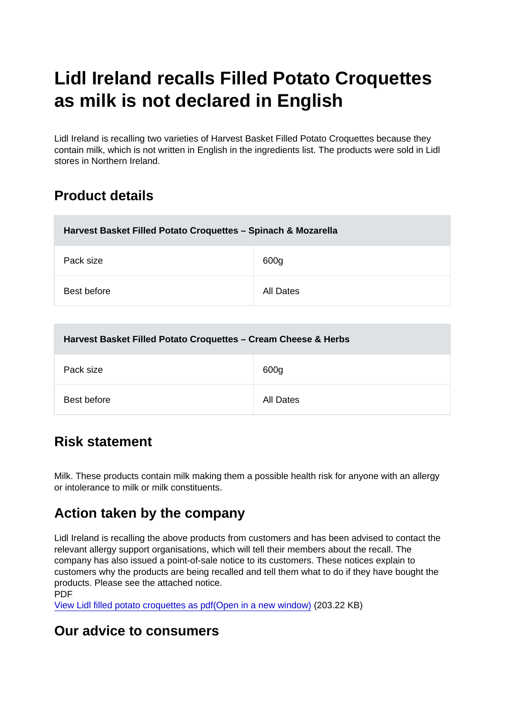# Lidl Ireland recalls Filled Potato Croquettes as milk is not declared in English

Lidl Ireland is recalling two varieties of Harvest Basket Filled Potato Croquettes because they contain milk, which is not written in English in the ingredients list. The products were sold in Lidl stores in Northern Ireland.

## Product details

| Harvest Basket Filled Potato Croquettes - Spinach & Mozarella |           |
|---------------------------------------------------------------|-----------|
| Pack size                                                     | 600g      |
| Best before                                                   | All Dates |

| Harvest Basket Filled Potato Croquettes - Cream Cheese & Herbs |           |
|----------------------------------------------------------------|-----------|
| Pack size                                                      | 600g      |
| Best before                                                    | All Dates |

# Risk statement

Milk. These products contain milk making them a possible health risk for anyone with an allergy or intolerance to milk or milk constituents.

### Action taken by the company

Lidl Ireland is recalling the above products from customers and has been advised to contact the relevant allergy support organisations, which will tell their members about the recall. The company has also issued a point-of-sale notice to its customers. These notices explain to customers why the products are being recalled and tell them what to do if they have bought the products. Please see the attached notice. PDF

[View Lidl filled potato croquettes as pdf\(Open in a new window\)](https://s3-eu-west-1.amazonaws.com/fsa-alerts-files/production/FSA-AA-43-2018/Lidl-Filled-Potato-Croquettes-Label-not-in-English.pdf) (203.22 KB)

### Our advice to consumers